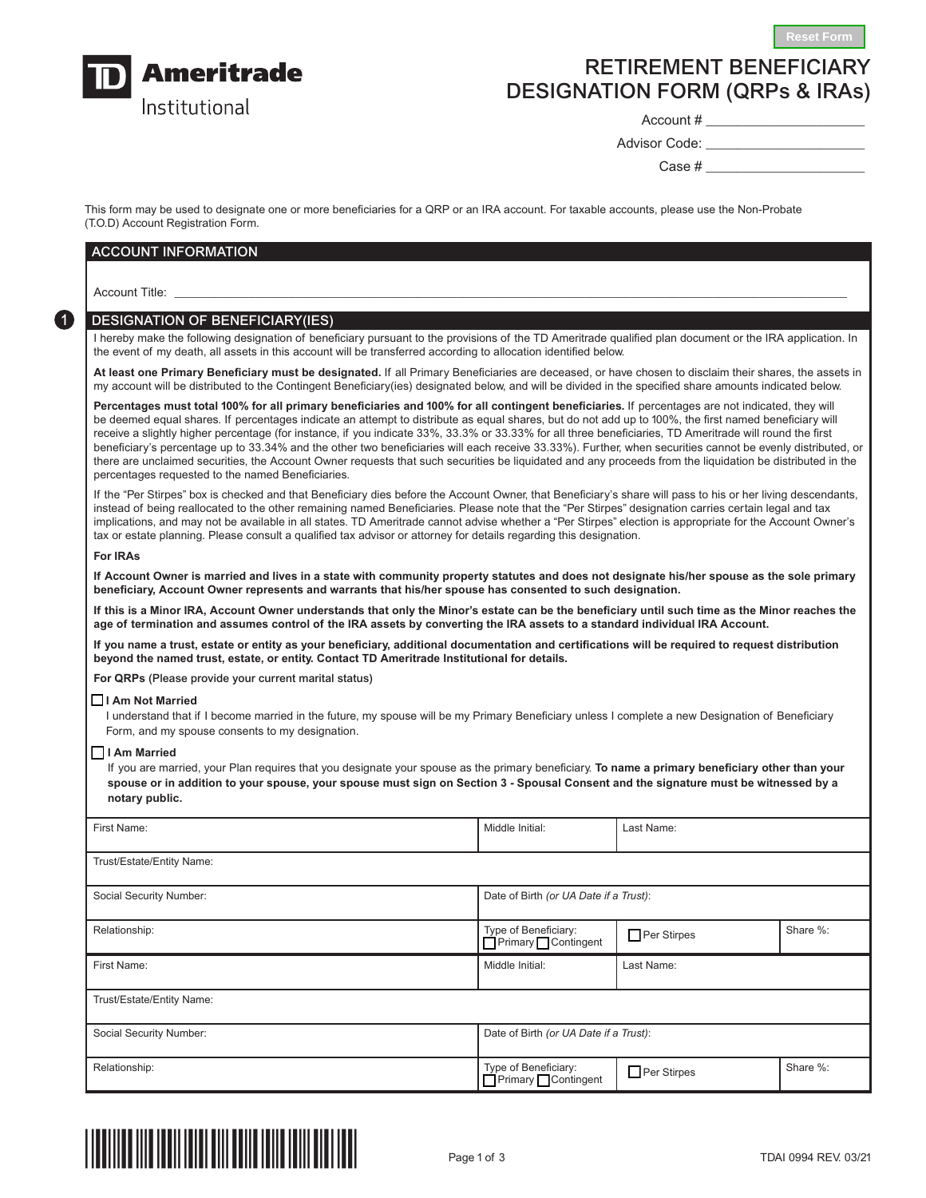

# RETIREMENT BENEFICIARY DESIGNATION FORM (QRPs & IRAs)

Account # \_\_\_\_\_\_\_\_\_\_\_\_\_\_\_\_\_\_\_\_\_

Advisor Code:

 $Case #$ 

**Reset Form**

This form may be used to designate one or more beneficiaries for a QRP or an IRA account. For taxable accounts, please use the Non-Probate (T.O.D) Account Registration Form.

# ACCOUNT INFORMATION

Account Title: \_\_\_\_\_\_\_\_\_\_\_\_\_\_\_\_\_\_\_\_\_\_\_\_\_\_\_\_\_\_\_\_\_\_\_\_\_\_\_\_\_\_\_\_\_\_\_\_\_\_\_\_\_\_\_\_\_\_\_\_\_\_\_\_\_\_\_\_\_\_\_\_\_\_\_\_\_\_\_\_\_\_\_\_\_\_\_\_\_\_\_\_\_\_\_\_\_\_\_\_

1

## DESIGNATION OF BENEFICIARY(IES)

I hereby make the following designation of beneficiary pursuant to the provisions of the TD Ameritrade qualified plan document or the IRA application. In the event of my death, all assets in this account will be transferred according to allocation identified below.

**At least one Primary Beneficiary must be designated.** If all Primary Beneficiaries are deceased, or have chosen to disclaim their shares, the assets in my account will be distributed to the Contingent Beneficiary(ies) designated below, and will be divided in the specified share amounts indicated below.

**Percentages must total 100% for all primary beneficiaries and 100% for all contingent beneficiaries.** If percentages are not indicated, they will be deemed equal shares. If percentages indicate an attempt to distribute as equal shares, but do not add up to 100%, the first named beneficiary will receive a slightly higher percentage (for instance, if you indicate 33%, 33.3% or 33.33% for all three beneficiaries, TD Ameritrade will round the first beneficiary's percentage up to 33.34% and the other two beneficiaries will each receive 33.33%). Further, when securities cannot be evenly distributed, or there are unclaimed securities, the Account Owner requests that such securities be liquidated and any proceeds from the liquidation be distributed in the percentages requested to the named Beneficiaries.

If the "Per Stirpes" box is checked and that Beneficiary dies before the Account Owner, that Beneficiary's share will pass to his or her living descendants, instead of being reallocated to the other remaining named Beneficiaries. Please note that the "Per Stirpes" designation carries certain legal and tax implications, and may not be available in all states. TD Ameritrade cannot advise whether a "Per Stirpes" election is appropriate for the Account Owner's tax or estate planning. Please consult a qualified tax advisor or attorney for details regarding this designation.

### **For IRAs**

**If Account Owner is married and lives in a state with community property statutes and does not designate his/her spouse as the sole primary beneficiary, Account Owner represents and warrants that his/her spouse has consented to such designation.**

**If this is a Minor IRA, Account Owner understands that only the Minor's estate can be the beneficiary until such time as the Minor reaches the age of termination and assumes control of the IRA assets by converting the IRA assets to a standard individual IRA Account.**

**If you name a trust, estate or entity as your beneficiary, additional documentation and certifications will be required to request distribution beyond the named trust, estate, or entity. Contact TD Ameritrade Institutional for details.**

**For QRPs** (Please provide your current marital status)

#### N **I Am Not Married**

I understand that if I become married in the future, my spouse will be my Primary Beneficiary unless I complete a new Designation of Beneficiary Form, and my spouse consents to my designation.

#### N **I Am Married**

If you are married, your Plan requires that you designate your spouse as the primary beneficiary. **To name a primary beneficiary other than your spouse or in addition to your spouse, your spouse must sign on Section 3 - Spousal Consent and the signature must be witnessed by a notary public.**

| First Name:               | Middle Initial:                             | Last Name:         |          |
|---------------------------|---------------------------------------------|--------------------|----------|
| Trust/Estate/Entity Name: |                                             |                    |          |
| Social Security Number:   | Date of Birth (or UA Date if a Trust):      |                    |          |
| Relationship:             | Type of Beneficiary:<br>□Primary□Contingent | Per Stirpes        | Share %: |
| First Name:               | Middle Initial:                             | Last Name:         |          |
| Trust/Estate/Entity Name: |                                             |                    |          |
| Social Security Number:   | Date of Birth (or UA Date if a Trust):      |                    |          |
| Relationship:             | Type of Beneficiary:<br>Primary Contingent  | $\Box$ Per Stirpes | Share %: |

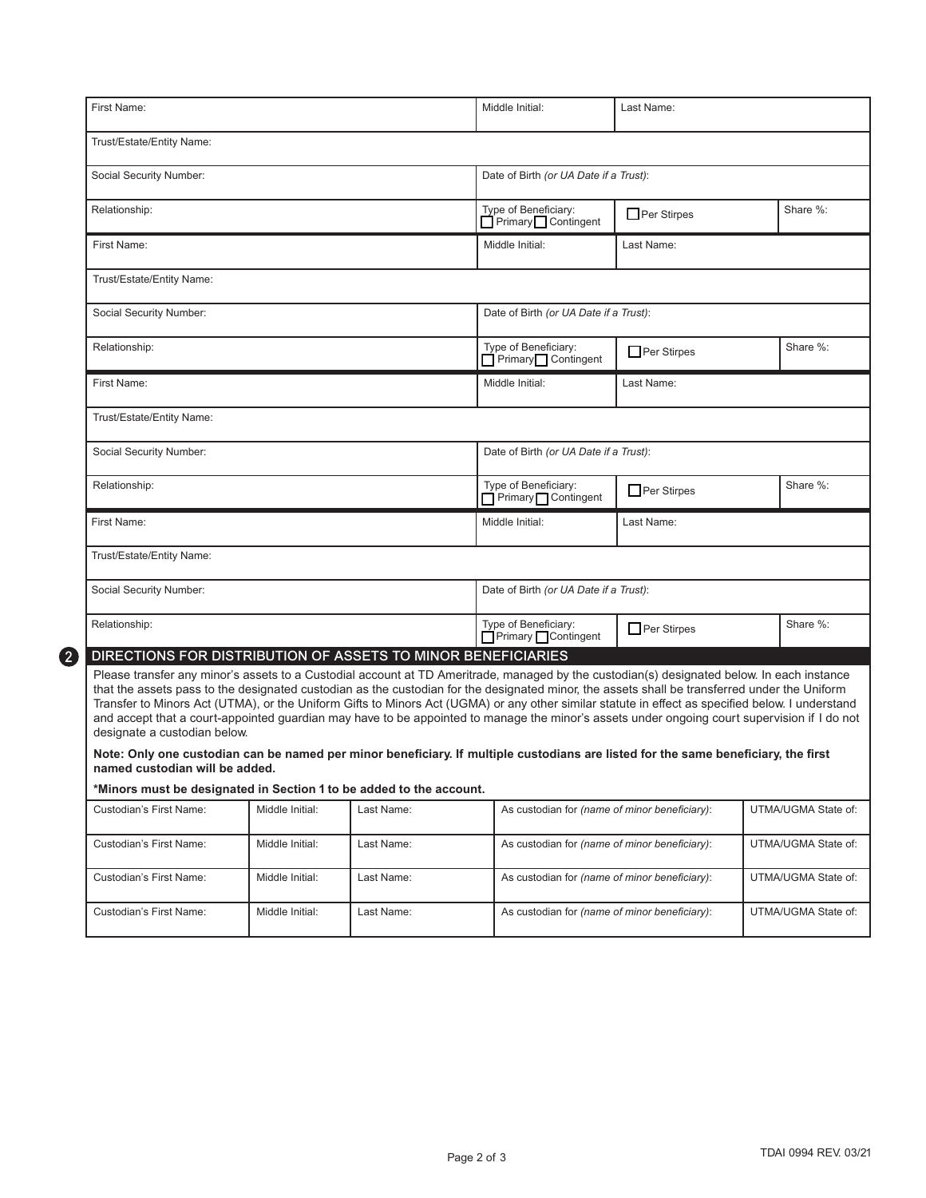| First Name:                                                                                                                                                                                                                                                                                                                                                                                                                                                                                                                                                                                                                                                                                                                                                                                                                                                                                                                                                                                                                     |                                                       |                                        | Middle Initial:                                                                                                                                 | Last Name:         |  |                                                                   |
|---------------------------------------------------------------------------------------------------------------------------------------------------------------------------------------------------------------------------------------------------------------------------------------------------------------------------------------------------------------------------------------------------------------------------------------------------------------------------------------------------------------------------------------------------------------------------------------------------------------------------------------------------------------------------------------------------------------------------------------------------------------------------------------------------------------------------------------------------------------------------------------------------------------------------------------------------------------------------------------------------------------------------------|-------------------------------------------------------|----------------------------------------|-------------------------------------------------------------------------------------------------------------------------------------------------|--------------------|--|-------------------------------------------------------------------|
| Trust/Estate/Entity Name:                                                                                                                                                                                                                                                                                                                                                                                                                                                                                                                                                                                                                                                                                                                                                                                                                                                                                                                                                                                                       |                                                       |                                        |                                                                                                                                                 |                    |  |                                                                   |
| Social Security Number:                                                                                                                                                                                                                                                                                                                                                                                                                                                                                                                                                                                                                                                                                                                                                                                                                                                                                                                                                                                                         |                                                       |                                        | Date of Birth (or UA Date if a Trust):                                                                                                          |                    |  |                                                                   |
| Relationship:                                                                                                                                                                                                                                                                                                                                                                                                                                                                                                                                                                                                                                                                                                                                                                                                                                                                                                                                                                                                                   |                                                       |                                        | Type of Beneficiary:<br>Primary Contingent                                                                                                      | Per Stirpes        |  | Share %:                                                          |
| First Name:                                                                                                                                                                                                                                                                                                                                                                                                                                                                                                                                                                                                                                                                                                                                                                                                                                                                                                                                                                                                                     |                                                       |                                        | Middle Initial:                                                                                                                                 | Last Name:         |  |                                                                   |
| Trust/Estate/Entity Name:                                                                                                                                                                                                                                                                                                                                                                                                                                                                                                                                                                                                                                                                                                                                                                                                                                                                                                                                                                                                       |                                                       |                                        |                                                                                                                                                 |                    |  |                                                                   |
| Social Security Number:                                                                                                                                                                                                                                                                                                                                                                                                                                                                                                                                                                                                                                                                                                                                                                                                                                                                                                                                                                                                         |                                                       |                                        | Date of Birth (or UA Date if a Trust):                                                                                                          |                    |  |                                                                   |
| Relationship:                                                                                                                                                                                                                                                                                                                                                                                                                                                                                                                                                                                                                                                                                                                                                                                                                                                                                                                                                                                                                   |                                                       |                                        | Type of Beneficiary:<br>Primary Contingent                                                                                                      | $\Box$ Per Stirpes |  | Share %:                                                          |
| First Name:                                                                                                                                                                                                                                                                                                                                                                                                                                                                                                                                                                                                                                                                                                                                                                                                                                                                                                                                                                                                                     |                                                       |                                        | Middle Initial:                                                                                                                                 | Last Name:         |  |                                                                   |
| Trust/Estate/Entity Name:                                                                                                                                                                                                                                                                                                                                                                                                                                                                                                                                                                                                                                                                                                                                                                                                                                                                                                                                                                                                       |                                                       |                                        |                                                                                                                                                 |                    |  |                                                                   |
| Social Security Number:                                                                                                                                                                                                                                                                                                                                                                                                                                                                                                                                                                                                                                                                                                                                                                                                                                                                                                                                                                                                         |                                                       |                                        | Date of Birth (or UA Date if a Trust):                                                                                                          |                    |  |                                                                   |
| Relationship:                                                                                                                                                                                                                                                                                                                                                                                                                                                                                                                                                                                                                                                                                                                                                                                                                                                                                                                                                                                                                   |                                                       |                                        | Type of Beneficiary:<br>Primary Contingent                                                                                                      | $\Box$ Per Stirpes |  | Share %:                                                          |
| First Name:                                                                                                                                                                                                                                                                                                                                                                                                                                                                                                                                                                                                                                                                                                                                                                                                                                                                                                                                                                                                                     |                                                       |                                        | Middle Initial:                                                                                                                                 | Last Name:         |  |                                                                   |
| Trust/Estate/Entity Name:                                                                                                                                                                                                                                                                                                                                                                                                                                                                                                                                                                                                                                                                                                                                                                                                                                                                                                                                                                                                       |                                                       |                                        |                                                                                                                                                 |                    |  |                                                                   |
| Social Security Number:                                                                                                                                                                                                                                                                                                                                                                                                                                                                                                                                                                                                                                                                                                                                                                                                                                                                                                                                                                                                         |                                                       |                                        | Date of Birth (or UA Date if a Trust):                                                                                                          |                    |  |                                                                   |
| Relationship:                                                                                                                                                                                                                                                                                                                                                                                                                                                                                                                                                                                                                                                                                                                                                                                                                                                                                                                                                                                                                   |                                                       |                                        | Type of Beneficiary:<br>□ Primary □ Contingent                                                                                                  | Per Stirpes        |  | Share %:                                                          |
| DIRECTIONS FOR DISTRIBUTION OF ASSETS TO MINOR BENEFICIARIES<br>Please transfer any minor's assets to a Custodial account at TD Ameritrade, managed by the custodian(s) designated below. In each instance<br>that the assets pass to the designated custodian as the custodian for the designated minor, the assets shall be transferred under the Uniform<br>Transfer to Minors Act (UTMA), or the Uniform Gifts to Minors Act (UGMA) or any other similar statute in effect as specified below. I understand<br>and accept that a court-appointed guardian may have to be appointed to manage the minor's assets under ongoing court supervision if I do not<br>designate a custodian below.<br>Note: Only one custodian can be named per minor beneficiary. If multiple custodians are listed for the same beneficiary, the first<br>named custodian will be added.<br>*Minors must be designated in Section 1 to be added to the account.<br>Custodian's First Name:<br>Custodian's First Name:<br>Custodian's First Name: | Middle Initial:<br>Middle Initial:<br>Middle Initial: | Last Name:<br>Last Name:<br>Last Name: | As custodian for (name of minor beneficiary):<br>As custodian for (name of minor beneficiary):<br>As custodian for (name of minor beneficiary): |                    |  | UTMA/UGMA State of:<br>UTMA/UGMA State of:<br>UTMA/UGMA State of: |
| Custodian's First Name:                                                                                                                                                                                                                                                                                                                                                                                                                                                                                                                                                                                                                                                                                                                                                                                                                                                                                                                                                                                                         | Middle Initial:                                       | Last Name:                             | As custodian for (name of minor beneficiary):                                                                                                   |                    |  | UTMA/UGMA State of:                                               |